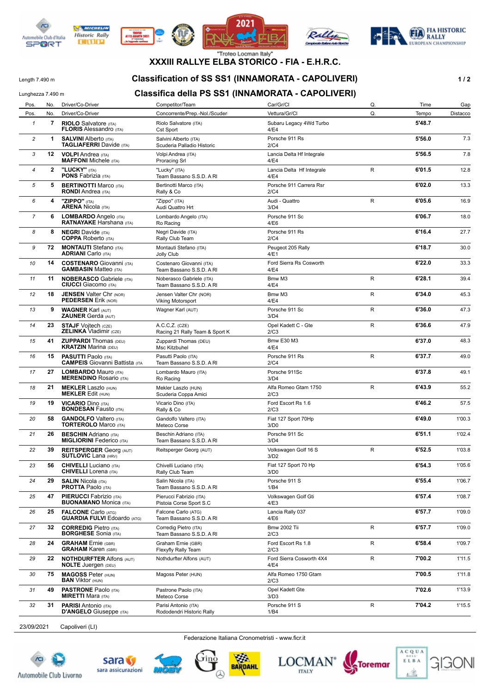



**WE MICHELIN** 

**Historic Rally** 

**DITURN** 







# **XXXIII RALLYE ELBA STORICO - FIA - E.H.R.C.**

### Length 7.490 m **Classification of SS SS1 (INNAMORATA - CAPOLIVERI)** 1/2

#### Lunghezza 7.490 m **Classifica della PS SS1 (INNAMORATA - CAPOLIVERI)**

| Pos.           | No. | Driver/Co-Driver                                                    | Competitor/Team                                      | Car/Gr/Cl                         | Q.          | Time   | Gap      |
|----------------|-----|---------------------------------------------------------------------|------------------------------------------------------|-----------------------------------|-------------|--------|----------|
| Pos.           | No. | Driver/Co-Driver                                                    | Concorrente/Prep.-Nol./Scuder                        | Vettura/Gr/Cl                     | Q.          | Tempo  | Distacco |
| 1              | 7   | <b>RIOLO</b> Salvatore (ITA)<br><b>FLORIS Alessandro (ITA)</b>      | Riolo Salvatore (ITA)<br>Cst Sport                   | Subaru Legacy 4Wd Turbo<br>4/E4   |             | 5'48.7 |          |
| $\overline{c}$ | 1   | <b>SALVINI Alberto (ITA)</b><br><b>TAGLIAFERRI</b> Davide (ITA)     | Salvini Alberto (ITA)<br>Scuderia Palladio Historic  | Porsche 911 Rs<br>2/C4            |             | 5'56.0 | 7.3      |
| 3              | 12  | <b>VOLPI</b> Andrea (ITA)<br><b>MAFFONI</b> Michele (ITA)           | Volpi Andrea (ITA)<br><b>Proracing Srl</b>           | Lancia Delta Hf Integrale<br>4/E4 |             | 5'56.5 | 7.8      |
| 4              | 2   | "LUCKY" (ITA)<br><b>PONS Fabrizia (ITA)</b>                         | "Lucky" (ITA)<br>Team Bassano S.S.D. A RI            | Lancia Delta Hf Integrale<br>4/E4 | R           | 6'01.5 | 12.8     |
| 5              | 5   | <b>BERTINOTTI Marco (ITA)</b><br><b>RONDI</b> Andrea (ITA)          | Bertinotti Marco (ITA)<br>Rally & Co                 | Porsche 911 Carrera Rsr<br>2/C4   |             | 6'02.0 | 13.3     |
| 6              | 4   | "ZIPPO" (ITA)<br><b>ARENA Nicola (ITA)</b>                          | "Zippo" (ITA)<br>Audi Quattro Hrt                    | Audi - Quattro<br>3/D4            | R           | 6'05.6 | 16.9     |
| $\overline{7}$ | 6   | LOMBARDO Angelo (ITA)<br><b>RATNAYAKE Harshana</b> (ITA)            | Lombardo Angelo (ITA)<br>Ro Racing                   | Porsche 911 Sc<br>4/E6            |             | 6'06.7 | 18.0     |
| 8              | 8   | <b>NEGRI</b> Davide (ITA)<br><b>COPPA</b> Roberto (ITA)             | Negri Davide (ITA)<br>Rally Club Team                | Porsche 911 Rs<br>2/C4            |             | 6'16.4 | 27.7     |
| 9              | 72  | <b>MONTAUTI</b> Stefano (ITA)<br><b>ADRIANI</b> Carlo (ITA)         | Montauti Stefano (ITA)<br><b>Jolly Club</b>          | Peugeot 205 Rally<br>4/E1         |             | 6'18.7 | 30.0     |
| 10             | 14  | <b>COSTENARO</b> Giovanni (ITA)<br><b>GAMBASIN Matteo (ITA)</b>     | Costenaro Giovanni (ITA)<br>Team Bassano S.S.D. A RI | Ford Sierra Rs Cosworth<br>4/E4   |             | 6'22.0 | 33.3     |
| 11             | 11  | <b>NOBERASCO Gabriele (ITA)</b><br><b>CIUCCI</b> Giacomo (ITA)      | Noberasco Gabriele (ITA)<br>Team Bassano S.S.D. A RI | Bmw M3<br>4/E4                    | R           | 6'28.1 | 39.4     |
| 12             | 18  | <b>JENSEN Valter Chr (NOR)</b><br><b>PEDERSEN Erik (NOR)</b>        | Jensen Valter Chr (NOR)<br><b>Viking Motorsport</b>  | Bmw M3<br>4/E4                    | R           | 6'34.0 | 45.3     |
| 13             | 9   | <b>WAGNER Karl (AUT)</b><br><b>ZAUNER Gerda (AUT)</b>               | Wagner Karl (AUT)                                    | Porsche 911 Sc<br>3/D4            | $\mathsf R$ | 6'36.0 | 47.3     |
| 14             | 23  | <b>STAJF Vojtech (CZE)</b><br><b>ZELINKA Vladimir (CZE)</b>         | $A.C.C,Z.$ (CZE)<br>Racing 21 Rally Team & Sport K   | Opel Kadett C - Gte<br>2/C3       | ${\sf R}$   | 6'36.6 | 47.9     |
| 15             | 41  | <b>ZUPPARDI</b> Thomas (DEU)<br><b>KRATZIN Marina (DEU)</b>         | Zuppardi Thomas (DEU)<br>Msc Kitzbuhel               | <b>Bmw E30 M3</b><br>4/E4         |             | 6'37.0 | 48.3     |
| 16             | 15  | <b>PASUTTI Paolo (ITA)</b><br><b>CAMPEIS</b> Giovanni Battista (ITA | Pasutti Paolo (ITA)<br>Team Bassano S.S.D. A RI      | Porsche 911 Rs<br>2/C4            | ${\sf R}$   | 6'37.7 | 49.0     |
| 17             | 27  | <b>LOMBARDO Mauro (ITA)</b><br><b>MERENDINO Rosario (ITA)</b>       | Lombardo Mauro (ITA)<br>Ro Racing                    | Porsche 911Sc<br>3/D4             |             | 6'37.8 | 49.1     |
| 18             | 21  | <b>MEKLER Laszlo (HUN)</b><br><b>MEKLER Edit (HUN)</b>              | Mekler Laszlo (HUN)<br>Scuderia Coppa Amici          | Alfa Romeo Gtam 1750<br>2/C3      | R           | 6'43.9 | 55.2     |
| 19             | 19  | <b>VICARIO Dino (ITA)</b><br><b>BONDESAN Fausto (ITA)</b>           | Vicario Dino (ITA)<br>Rally & Co                     | Ford Escort Rs 1.6<br>2/C3        |             | 6'46.2 | 57.5     |
| 20             | 58  | <b>GANDOLFO</b> Valtero (ITA)<br><b>TORTEROLO Marco (ITA)</b>       | Gandolfo Valtero (ITA)<br>Meteco Corse               | Fiat 127 Sport 70Hp<br>3/D0       |             | 6'49.0 | 1'00.3   |
| 21             | 26  | <b>BESCHIN</b> Adriano (ITA)<br><b>MIGLIORINI Federico (ITA)</b>    | Beschin Adriano (ITA)<br>Team Bassano S.S.D. A RI    | Porsche 911 Sc<br>3/D4            |             | 6'51.1 | 1'02.4   |
| 22             | 39  | <b>REITSPERGER Georg (AUT)</b><br><b>SUTLOVIC</b> Lana (HRV)        | Reitsperger Georg (AUT)                              | Volkswagen Golf 16 S<br>3/D2      | R           | 6'52.5 | 1'03.8   |
| 23             | 56  | <b>CHIVELLI</b> Luciano (ITA)<br><b>CHIVELLI</b> Lorena (ITA)       | Chivelli Luciano (ITA)<br>Rally Club Team            | Fiat 127 Sport 70 Hp<br>3/D0      |             | 6'54.3 | 1'05.6   |
| 24             | 29  | <b>SALIN</b> Nicola (ITA)<br><b>PROTTA Paolo (ITA)</b>              | Salin Nicola (ITA)<br>Team Bassano S.S.D. A RI       | Porsche 911 S<br>1/B4             |             | 6'55.4 | 1'06.7   |
| 25             | 47  | <b>PIERUCCI</b> Fabrizio (ITA)<br><b>BUONAMANO Monica (ITA)</b>     | Pierucci Fabrizio (ITA)<br>Pistoia Corse Sport S.C   | Volkswagen Golf Gti<br>4/E3       |             | 6'57.4 | 1'08.7   |
| 26             | 25  | <b>FALCONE Carlo (ATG)</b><br><b>GUARDIA FULVI Edoardo (ATG)</b>    | Falcone Carlo (ATG)<br>Team Bassano S.S.D. A RI      | Lancia Rally 037<br>4/E6          |             | 6'57.7 | 1'09.0   |
| 27             | 32  | <b>CORREDIG Pietro (ITA)</b><br><b>BORGHESE</b> Sonia (ITA)         | Corredig Pietro (ITA)<br>Team Bassano S.S.D. A RI    | <b>Bmw 2002 Tii</b><br>2/C3       | R           | 6'57.7 | 1'09.0   |
| 28             | 24  | <b>GRAHAM</b> Ernie (GBR)<br><b>GRAHAM Karen (GBR)</b>              | Graham Ernie (GBR)<br>Flexyfly Rally Team            | Ford Escort Rs 1.8<br>2/C3        | R           | 6'58.4 | 1'09.7   |
| 29             | 22  | <b>NOTHDURFTER Alfons (AUT)</b><br><b>NOLTE</b> Juergen (DEU)       | Nothdurfter Alfons (AUT)                             | Ford Sierra Cosworth 4X4<br>4/E4  | R           | 7'00.2 | 1'11.5   |
| 30             | 75  | <b>MAGOSS Peter (HUN)</b><br><b>BAN</b> Viktor (HUN)                | Magoss Peter (HUN)                                   | Alfa Romeo 1750 Gtam<br>2/C3      |             | 7'00.5 | 1'11.8   |
| 31             | 49  | <b>PASTRONE Paolo (ITA)</b><br><b>MIRETTI Mara (ITA)</b>            | Pastrone Paolo (ITA)<br>Meteco Corse                 | Opel Kadett Gte<br>3/D3           |             | 7'02.6 | 1'13.9   |
| 32             | 31  | <b>PARISI</b> Antonio (ITA)<br><b>D'ANGELO</b> Giuseppe (ITA)       | Parisi Antonio (ITA)<br>Rododendri Historic Rally    | Porsche 911 S<br>1/B4             | R           | 7'04.2 | 1'15.5   |
|                |     |                                                                     |                                                      |                                   |             |        |          |

23/09/2021 Capoliveri (LI)

Federazione Italiana Cronometristi - www.ficr.it